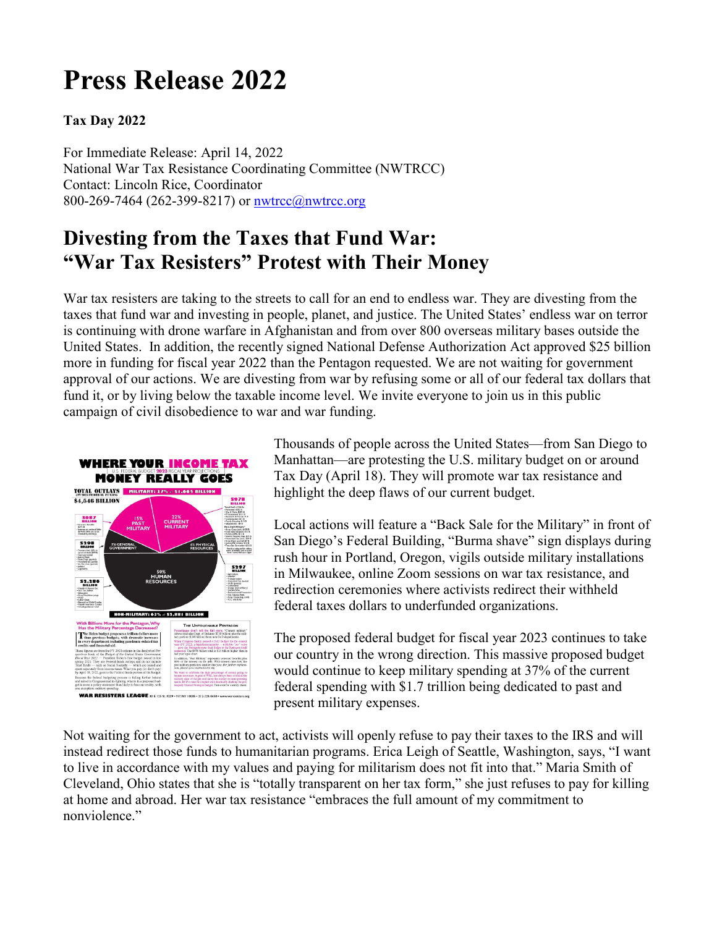## **Press Release 2022**

## **Tax Day 2022**

For Immediate Release: April 14, 2022 National War Tax Resistance Coordinating Committee (NWTRCC) Contact: Lincoln Rice, Coordinator 800-269-7464 (262-399-8217) or **nwtrcc@nwtrcc.org** 

## **Divesting from the Taxes that Fund War: "War Tax Resisters" Protest with Their Money**

War tax resisters are taking to the streets to call for an end to endless war. They are divesting from the taxes that fund war and investing in people, planet, and justice. The United States' endless war on terror is continuing with drone warfare in Afghanistan and from over 800 overseas military bases outside the United States. In addition, the recently signed National Defense Authorization Act approved \$25 billion more in funding for fiscal year 2022 than the Pentagon requested. We are not waiting for government approval of our actions. We are divesting from war by refusing some or all of our federal tax dollars that fund it, or by living below the taxable income level. We invite everyone to join us in this public campaign of civil disobedience to war and war funding.



Thousands of people across the United States—from San Diego to Manhattan—are protesting the U.S. military budget on or around Tax Day (April 18). They will promote war tax resistance and highlight the deep flaws of our current budget.

Local actions will feature a "Back Sale for the Military" in front of San Diego's Federal Building, "Burma shave" sign displays during rush hour in Portland, Oregon, vigils outside military installations in Milwaukee, online Zoom sessions on war tax resistance, and redirection ceremonies where activists redirect their withheld federal taxes dollars to underfunded organizations.

The proposed federal budget for fiscal year 2023 continues to take our country in the wrong direction. This massive proposed budget would continue to keep military spending at 37% of the current federal spending with \$1.7 trillion being dedicated to past and present military expenses.

Not waiting for the government to act, activists will openly refuse to pay their taxes to the IRS and will instead redirect those funds to humanitarian programs. Erica Leigh of Seattle, Washington, says, "I want to live in accordance with my values and paying for militarism does not fit into that." Maria Smith of Cleveland, Ohio states that she is "totally transparent on her tax form," she just refuses to pay for killing at home and abroad. Her war tax resistance "embraces the full amount of my commitment to nonviolence."